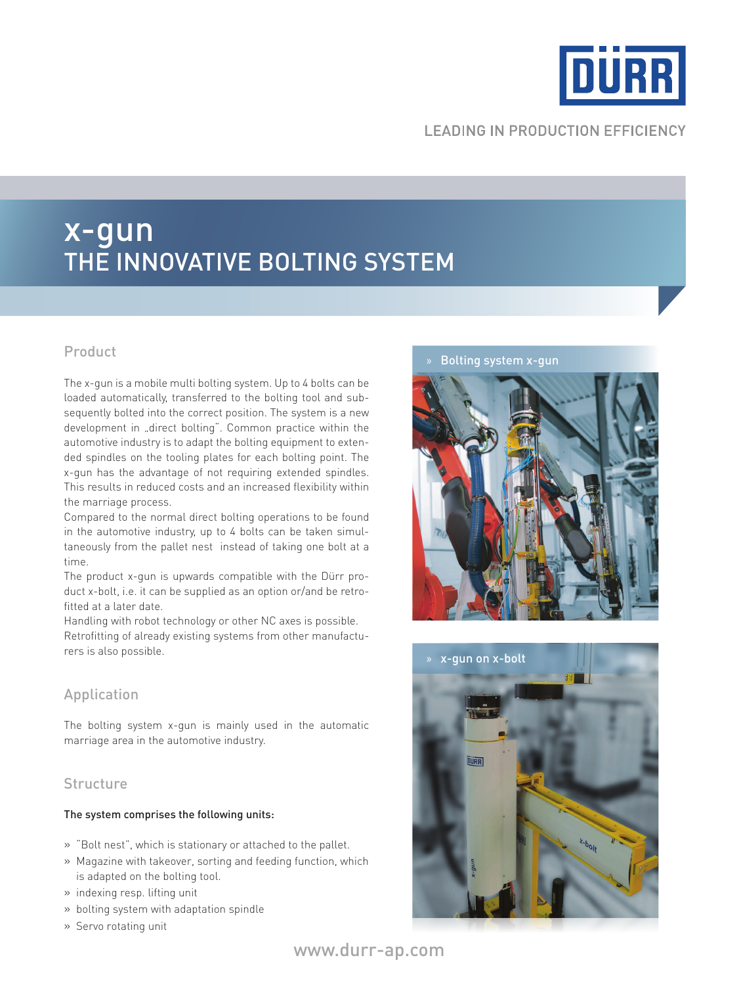

# **LEADING IN PRODUCTION EFFICIENCY**

# x-gun the innovative bolting system

## Product

The x-gun is a mobile multi bolting system. Up to 4 bolts can be loaded automatically, transferred to the bolting tool and subsequently bolted into the correct position. The system is a new development in "direct bolting". Common practice within the automotive industry is to adapt the bolting equipment to extended spindles on the tooling plates for each bolting point. The x-gun has the advantage of not requiring extended spindles. This results in reduced costs and an increased flexibility within the marriage process.

Compared to the normal direct bolting operations to be found in the automotive industry, up to 4 bolts can be taken simultaneously from the pallet nest instead of taking one bolt at a time.

The product x-gun is upwards compatible with the Dürr product x-bolt, i.e. it can be supplied as an option or/and be retrofitted at a later date.

Handling with robot technology or other NC axes is possible. Retrofitting of already existing systems from other manufacturers is also possible.

## Application

The bolting system x-gun is mainly used in the automatic marriage area in the automotive industry.

### **Structure**

#### The system comprises the following units:

- » "Bolt nest", which is stationary or attached to the pallet.
- » Magazine with takeover, sorting and feeding function, which is adapted on the bolting tool.
- » indexing resp. lifting unit
- » bolting system with adaptation spindle
- » Servo rotating unit

#### » Bolting system x-gun